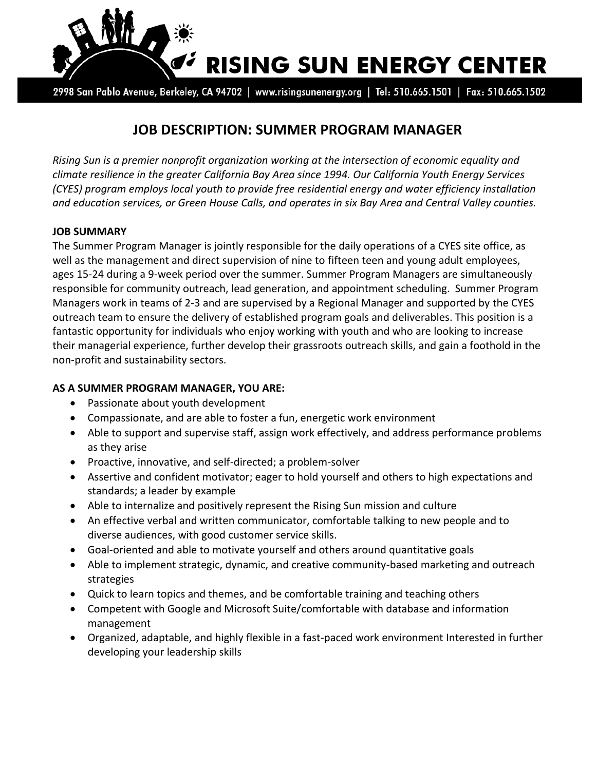

2998 San Pablo Avenue, Berkeley, CA 94702 | www.risingsunenergy.org | Tel: 510.665.1501 | Fax: 510.665.1502

# **JOB DESCRIPTION: SUMMER PROGRAM MANAGER**

*Rising Sun is a premier nonprofit organization working at the intersection of economic equality and climate resilience in the greater California Bay Area since 1994. Our California Youth Energy Services (CYES) program employs local youth to provide free residential energy and water efficiency installation and education services, or Green House Calls, and operates in six Bay Area and Central Valley counties.*

#### **JOB SUMMARY**

The Summer Program Manager is jointly responsible for the daily operations of a CYES site office, as well as the management and direct supervision of nine to fifteen teen and young adult employees, ages 15-24 during a 9-week period over the summer. Summer Program Managers are simultaneously responsible for community outreach, lead generation, and appointment scheduling. Summer Program Managers work in teams of 2-3 and are supervised by a Regional Manager and supported by the CYES outreach team to ensure the delivery of established program goals and deliverables. This position is a fantastic opportunity for individuals who enjoy working with youth and who are looking to increase their managerial experience, further develop their grassroots outreach skills, and gain a foothold in the non-profit and sustainability sectors.

# **AS A SUMMER PROGRAM MANAGER, YOU ARE:**

- Passionate about youth development
- Compassionate, and are able to foster a fun, energetic work environment
- Able to support and supervise staff, assign work effectively, and address performance problems as they arise
- Proactive, innovative, and self-directed; a problem-solver
- Assertive and confident motivator; eager to hold yourself and others to high expectations and standards; a leader by example
- Able to internalize and positively represent the Rising Sun mission and culture
- An effective verbal and written communicator, comfortable talking to new people and to diverse audiences, with good customer service skills.
- Goal-oriented and able to motivate yourself and others around quantitative goals
- Able to implement strategic, dynamic, and creative community-based marketing and outreach strategies
- Quick to learn topics and themes, and be comfortable training and teaching others
- Competent with Google and Microsoft Suite/comfortable with database and information management
- Organized, adaptable, and highly flexible in a fast-paced work environment Interested in further developing your leadership skills